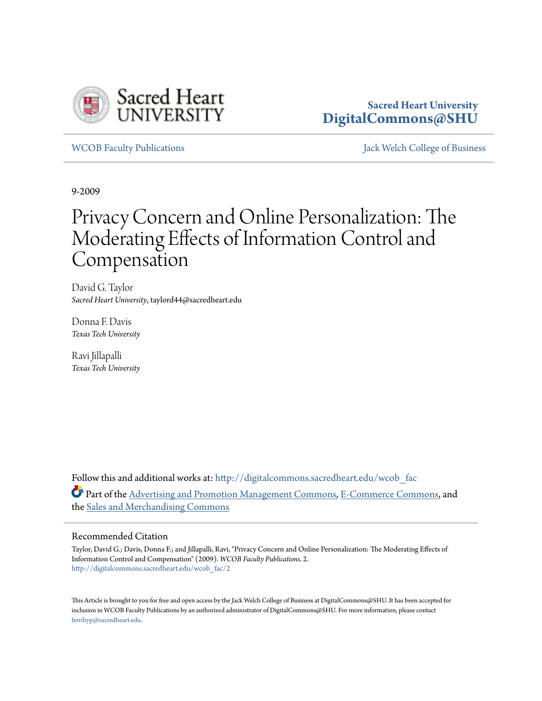

# **Sacred Heart University [DigitalCommons@SHU](http://digitalcommons.sacredheart.edu?utm_source=digitalcommons.sacredheart.edu%2Fwcob_fac%2F2&utm_medium=PDF&utm_campaign=PDFCoverPages)**

[WCOB Faculty Publications](http://digitalcommons.sacredheart.edu/wcob_fac?utm_source=digitalcommons.sacredheart.edu%2Fwcob_fac%2F2&utm_medium=PDF&utm_campaign=PDFCoverPages) [Jack Welch College of Business](http://digitalcommons.sacredheart.edu/wcob?utm_source=digitalcommons.sacredheart.edu%2Fwcob_fac%2F2&utm_medium=PDF&utm_campaign=PDFCoverPages)

9-2009

# Privacy Concern and Online Personalization: The Moderating Effects of Information Control and Compensation

David G. Taylor *Sacred Heart University*, taylord44@sacredheart.edu

Donna F. Davis *Texas Tech University*

Ravi Jillapalli *Texas Tech University*

Follow this and additional works at: [http://digitalcommons.sacredheart.edu/wcob\\_fac](http://digitalcommons.sacredheart.edu/wcob_fac?utm_source=digitalcommons.sacredheart.edu%2Fwcob_fac%2F2&utm_medium=PDF&utm_campaign=PDFCoverPages) Part of the [Advertising and Promotion Management Commons,](https://network.bepress.com/hgg/discipline/626?utm_source=digitalcommons.sacredheart.edu%2Fwcob_fac%2F2&utm_medium=PDF&utm_campaign=PDFCoverPages) [E-Commerce Commons,](https://network.bepress.com/hgg/discipline/624?utm_source=digitalcommons.sacredheart.edu%2Fwcob_fac%2F2&utm_medium=PDF&utm_campaign=PDFCoverPages) and the [Sales and Merchandising Commons](https://network.bepress.com/hgg/discipline/646?utm_source=digitalcommons.sacredheart.edu%2Fwcob_fac%2F2&utm_medium=PDF&utm_campaign=PDFCoverPages)

#### Recommended Citation

Taylor, David G.; Davis, Donna F.; and Jillapalli, Ravi, "Privacy Concern and Online Personalization: The Moderating Effects of Information Control and Compensation" (2009). *WCOB Faculty Publications*. 2. [http://digitalcommons.sacredheart.edu/wcob\\_fac/2](http://digitalcommons.sacredheart.edu/wcob_fac/2?utm_source=digitalcommons.sacredheart.edu%2Fwcob_fac%2F2&utm_medium=PDF&utm_campaign=PDFCoverPages)

This Article is brought to you for free and open access by the Jack Welch College of Business at DigitalCommons@SHU. It has been accepted for inclusion in WCOB Faculty Publications by an authorized administrator of DigitalCommons@SHU. For more information, please contact [ferribyp@sacredheart.edu](mailto:ferribyp@sacredheart.edu).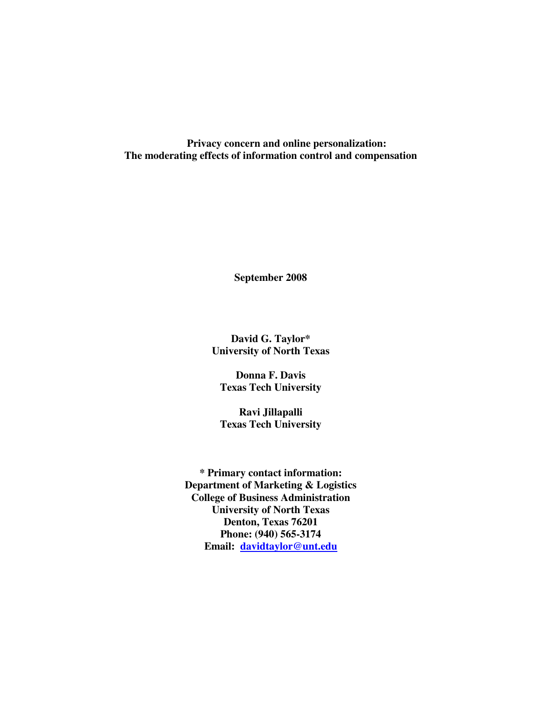**Privacy concern and online personalization: The moderating effects of information control and compensation** 

**September 2008** 

**David G. Taylor\* University of North Texas** 

**Donna F. Davis Texas Tech University** 

**Ravi Jillapalli Texas Tech University** 

**\* Primary contact information: Department of Marketing & Logistics College of Business Administration University of North Texas Denton, Texas 76201 Phone: (940) 565-3174 Email: davidtaylor@unt.edu**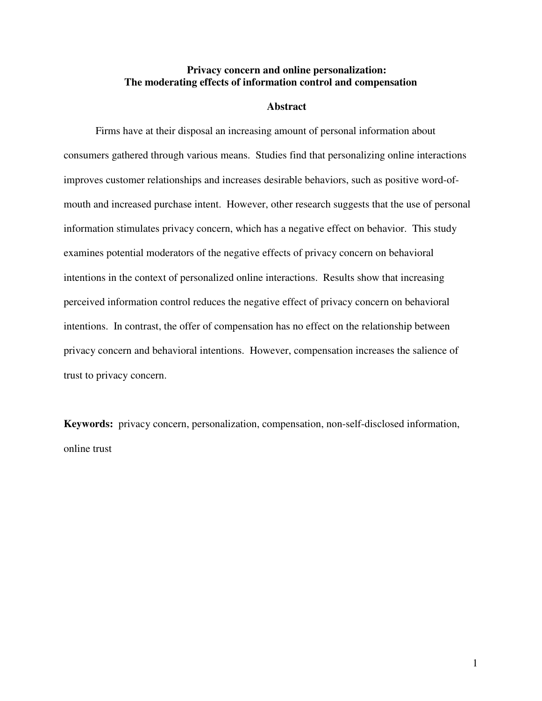# **Privacy concern and online personalization: The moderating effects of information control and compensation**

#### **Abstract**

Firms have at their disposal an increasing amount of personal information about consumers gathered through various means. Studies find that personalizing online interactions improves customer relationships and increases desirable behaviors, such as positive word-ofmouth and increased purchase intent. However, other research suggests that the use of personal information stimulates privacy concern, which has a negative effect on behavior. This study examines potential moderators of the negative effects of privacy concern on behavioral intentions in the context of personalized online interactions. Results show that increasing perceived information control reduces the negative effect of privacy concern on behavioral intentions. In contrast, the offer of compensation has no effect on the relationship between privacy concern and behavioral intentions. However, compensation increases the salience of trust to privacy concern.

**Keywords:** privacy concern, personalization, compensation, non-self-disclosed information, online trust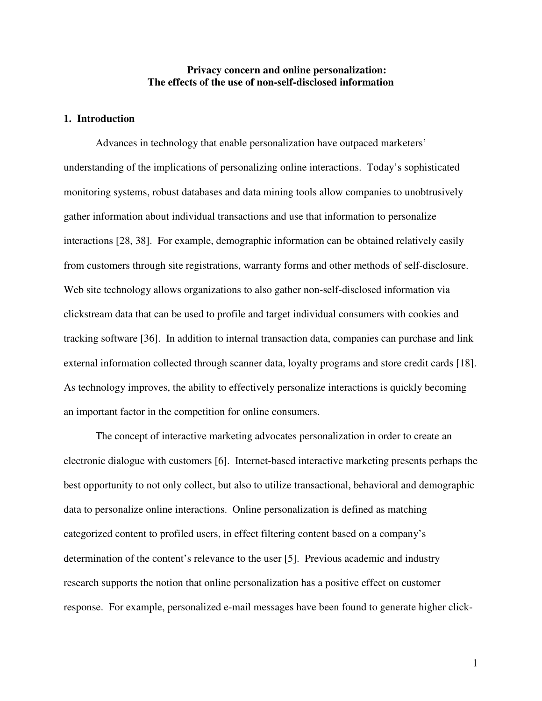# **Privacy concern and online personalization: The effects of the use of non-self-disclosed information**

# **1. Introduction**

Advances in technology that enable personalization have outpaced marketers' understanding of the implications of personalizing online interactions. Today's sophisticated monitoring systems, robust databases and data mining tools allow companies to unobtrusively gather information about individual transactions and use that information to personalize interactions [28, 38]. For example, demographic information can be obtained relatively easily from customers through site registrations, warranty forms and other methods of self-disclosure. Web site technology allows organizations to also gather non-self-disclosed information via clickstream data that can be used to profile and target individual consumers with cookies and tracking software [36]. In addition to internal transaction data, companies can purchase and link external information collected through scanner data, loyalty programs and store credit cards [18]. As technology improves, the ability to effectively personalize interactions is quickly becoming an important factor in the competition for online consumers.

The concept of interactive marketing advocates personalization in order to create an electronic dialogue with customers [6]. Internet-based interactive marketing presents perhaps the best opportunity to not only collect, but also to utilize transactional, behavioral and demographic data to personalize online interactions. Online personalization is defined as matching categorized content to profiled users, in effect filtering content based on a company's determination of the content's relevance to the user [5]. Previous academic and industry research supports the notion that online personalization has a positive effect on customer response. For example, personalized e-mail messages have been found to generate higher click-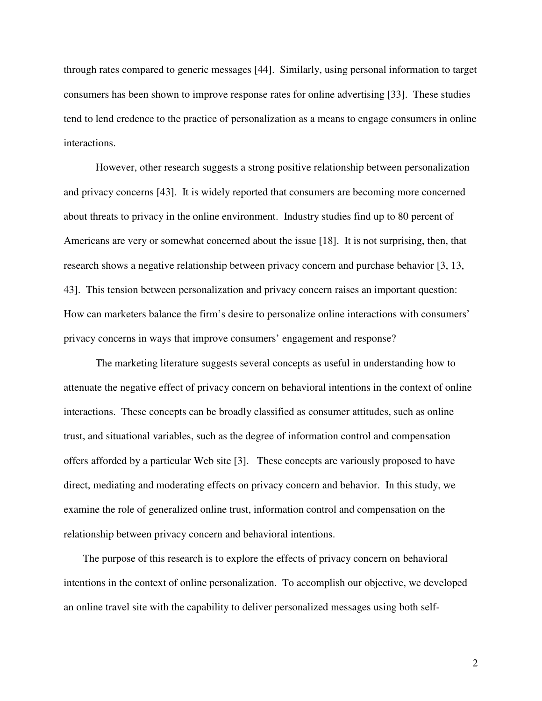through rates compared to generic messages [44]. Similarly, using personal information to target consumers has been shown to improve response rates for online advertising [33]. These studies tend to lend credence to the practice of personalization as a means to engage consumers in online interactions.

However, other research suggests a strong positive relationship between personalization and privacy concerns [43]. It is widely reported that consumers are becoming more concerned about threats to privacy in the online environment. Industry studies find up to 80 percent of Americans are very or somewhat concerned about the issue [18]. It is not surprising, then, that research shows a negative relationship between privacy concern and purchase behavior [3, 13, 43]. This tension between personalization and privacy concern raises an important question: How can marketers balance the firm's desire to personalize online interactions with consumers' privacy concerns in ways that improve consumers' engagement and response?

The marketing literature suggests several concepts as useful in understanding how to attenuate the negative effect of privacy concern on behavioral intentions in the context of online interactions. These concepts can be broadly classified as consumer attitudes, such as online trust, and situational variables, such as the degree of information control and compensation offers afforded by a particular Web site [3]. These concepts are variously proposed to have direct, mediating and moderating effects on privacy concern and behavior. In this study, we examine the role of generalized online trust, information control and compensation on the relationship between privacy concern and behavioral intentions.

The purpose of this research is to explore the effects of privacy concern on behavioral intentions in the context of online personalization. To accomplish our objective, we developed an online travel site with the capability to deliver personalized messages using both self-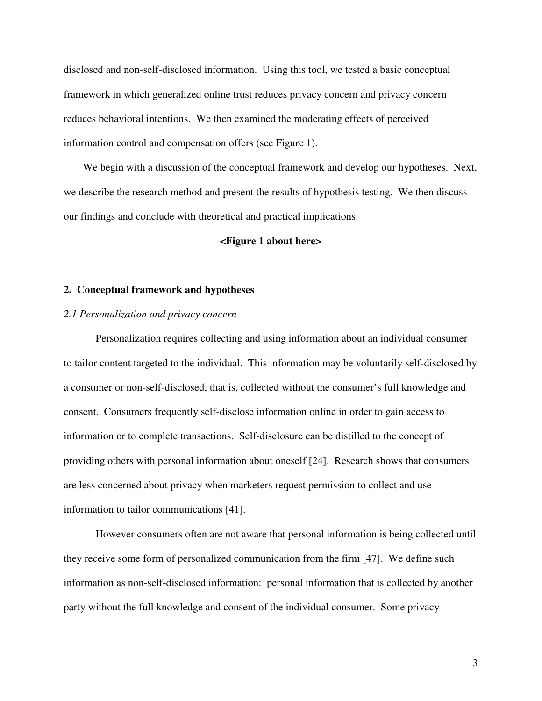disclosed and non-self-disclosed information. Using this tool, we tested a basic conceptual framework in which generalized online trust reduces privacy concern and privacy concern reduces behavioral intentions. We then examined the moderating effects of perceived information control and compensation offers (see Figure 1).

We begin with a discussion of the conceptual framework and develop our hypotheses. Next, we describe the research method and present the results of hypothesis testing. We then discuss our findings and conclude with theoretical and practical implications.

# **<Figure 1 about here>**

## **2. Conceptual framework and hypotheses**

#### *2.1 Personalization and privacy concern*

Personalization requires collecting and using information about an individual consumer to tailor content targeted to the individual. This information may be voluntarily self-disclosed by a consumer or non-self-disclosed, that is, collected without the consumer's full knowledge and consent. Consumers frequently self-disclose information online in order to gain access to information or to complete transactions. Self-disclosure can be distilled to the concept of providing others with personal information about oneself [24]. Research shows that consumers are less concerned about privacy when marketers request permission to collect and use information to tailor communications [41].

However consumers often are not aware that personal information is being collected until they receive some form of personalized communication from the firm [47]. We define such information as non-self-disclosed information: personal information that is collected by another party without the full knowledge and consent of the individual consumer. Some privacy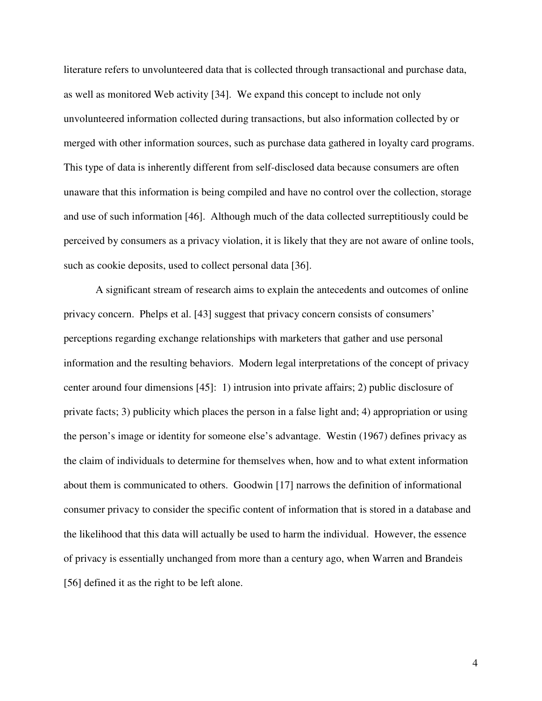literature refers to unvolunteered data that is collected through transactional and purchase data, as well as monitored Web activity [34]. We expand this concept to include not only unvolunteered information collected during transactions, but also information collected by or merged with other information sources, such as purchase data gathered in loyalty card programs. This type of data is inherently different from self-disclosed data because consumers are often unaware that this information is being compiled and have no control over the collection, storage and use of such information [46]. Although much of the data collected surreptitiously could be perceived by consumers as a privacy violation, it is likely that they are not aware of online tools, such as cookie deposits, used to collect personal data [36].

A significant stream of research aims to explain the antecedents and outcomes of online privacy concern. Phelps et al. [43] suggest that privacy concern consists of consumers' perceptions regarding exchange relationships with marketers that gather and use personal information and the resulting behaviors. Modern legal interpretations of the concept of privacy center around four dimensions [45]: 1) intrusion into private affairs; 2) public disclosure of private facts; 3) publicity which places the person in a false light and; 4) appropriation or using the person's image or identity for someone else's advantage. Westin (1967) defines privacy as the claim of individuals to determine for themselves when, how and to what extent information about them is communicated to others. Goodwin [17] narrows the definition of informational consumer privacy to consider the specific content of information that is stored in a database and the likelihood that this data will actually be used to harm the individual. However, the essence of privacy is essentially unchanged from more than a century ago, when Warren and Brandeis [56] defined it as the right to be left alone.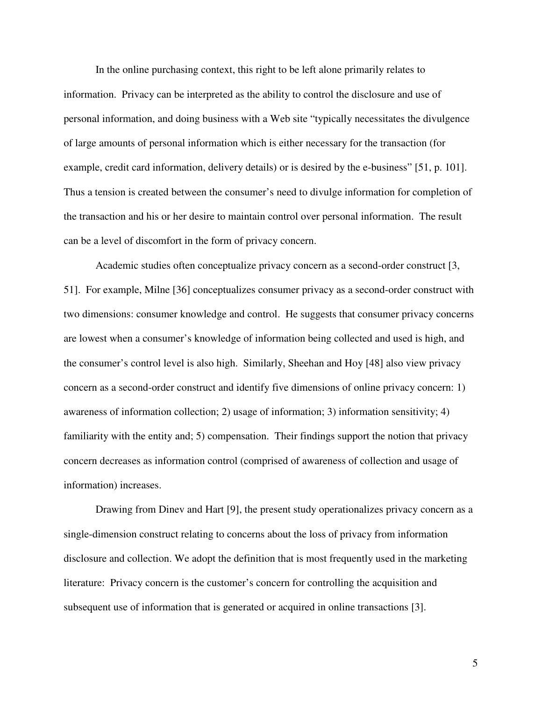In the online purchasing context, this right to be left alone primarily relates to information. Privacy can be interpreted as the ability to control the disclosure and use of personal information, and doing business with a Web site "typically necessitates the divulgence of large amounts of personal information which is either necessary for the transaction (for example, credit card information, delivery details) or is desired by the e-business" [51, p. 101]. Thus a tension is created between the consumer's need to divulge information for completion of the transaction and his or her desire to maintain control over personal information. The result can be a level of discomfort in the form of privacy concern.

Academic studies often conceptualize privacy concern as a second-order construct [3, 51]. For example, Milne [36] conceptualizes consumer privacy as a second-order construct with two dimensions: consumer knowledge and control. He suggests that consumer privacy concerns are lowest when a consumer's knowledge of information being collected and used is high, and the consumer's control level is also high. Similarly, Sheehan and Hoy [48] also view privacy concern as a second-order construct and identify five dimensions of online privacy concern: 1) awareness of information collection; 2) usage of information; 3) information sensitivity; 4) familiarity with the entity and; 5) compensation. Their findings support the notion that privacy concern decreases as information control (comprised of awareness of collection and usage of information) increases.

Drawing from Dinev and Hart [9], the present study operationalizes privacy concern as a single-dimension construct relating to concerns about the loss of privacy from information disclosure and collection. We adopt the definition that is most frequently used in the marketing literature: Privacy concern is the customer's concern for controlling the acquisition and subsequent use of information that is generated or acquired in online transactions [3].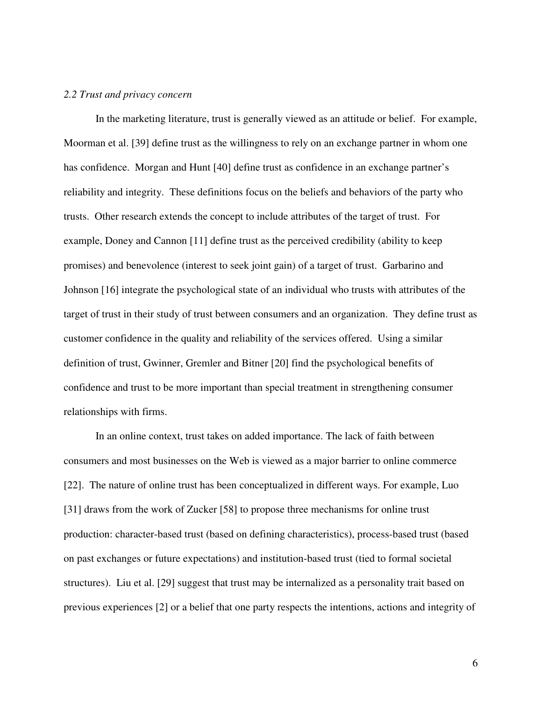#### *2.2 Trust and privacy concern*

In the marketing literature, trust is generally viewed as an attitude or belief. For example, Moorman et al. [39] define trust as the willingness to rely on an exchange partner in whom one has confidence. Morgan and Hunt [40] define trust as confidence in an exchange partner's reliability and integrity. These definitions focus on the beliefs and behaviors of the party who trusts. Other research extends the concept to include attributes of the target of trust. For example, Doney and Cannon [11] define trust as the perceived credibility (ability to keep promises) and benevolence (interest to seek joint gain) of a target of trust. Garbarino and Johnson [16] integrate the psychological state of an individual who trusts with attributes of the target of trust in their study of trust between consumers and an organization. They define trust as customer confidence in the quality and reliability of the services offered. Using a similar definition of trust, Gwinner, Gremler and Bitner [20] find the psychological benefits of confidence and trust to be more important than special treatment in strengthening consumer relationships with firms.

In an online context, trust takes on added importance. The lack of faith between consumers and most businesses on the Web is viewed as a major barrier to online commerce [22]. The nature of online trust has been conceptualized in different ways. For example, Luo [31] draws from the work of Zucker [58] to propose three mechanisms for online trust production: character-based trust (based on defining characteristics), process-based trust (based on past exchanges or future expectations) and institution-based trust (tied to formal societal structures). Liu et al. [29] suggest that trust may be internalized as a personality trait based on previous experiences [2] or a belief that one party respects the intentions, actions and integrity of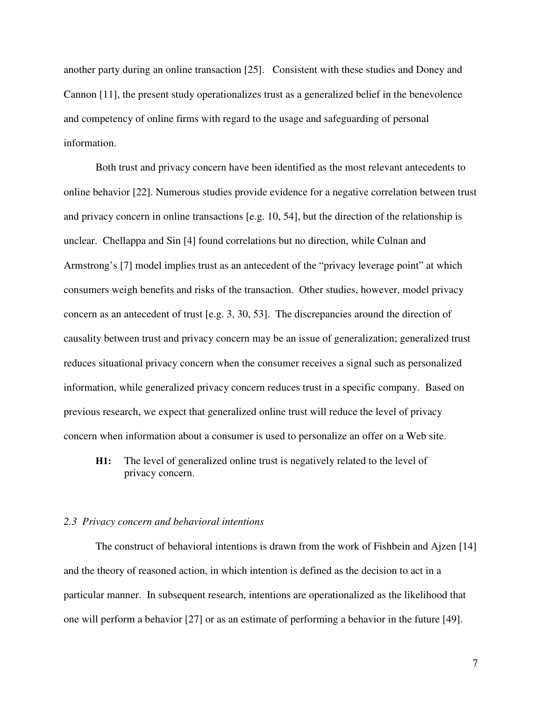another party during an online transaction [25]. Consistent with these studies and Doney and Cannon [11], the present study operationalizes trust as a generalized belief in the benevolence and competency of online firms with regard to the usage and safeguarding of personal information.

Both trust and privacy concern have been identified as the most relevant antecedents to online behavior [22]. Numerous studies provide evidence for a negative correlation between trust and privacy concern in online transactions [e.g. 10, 54], but the direction of the relationship is unclear. Chellappa and Sin [4] found correlations but no direction, while Culnan and Armstrong's [7] model implies trust as an antecedent of the "privacy leverage point" at which consumers weigh benefits and risks of the transaction. Other studies, however, model privacy concern as an antecedent of trust [e.g. 3, 30, 53]. The discrepancies around the direction of causality between trust and privacy concern may be an issue of generalization; generalized trust reduces situational privacy concern when the consumer receives a signal such as personalized information, while generalized privacy concern reduces trust in a specific company. Based on previous research, we expect that generalized online trust will reduce the level of privacy concern when information about a consumer is used to personalize an offer on a Web site.

**H1:** The level of generalized online trust is negatively related to the level of privacy concern.

#### *2.3 Privacy concern and behavioral intentions*

The construct of behavioral intentions is drawn from the work of Fishbein and Ajzen [14] and the theory of reasoned action, in which intention is defined as the decision to act in a particular manner. In subsequent research, intentions are operationalized as the likelihood that one will perform a behavior [27] or as an estimate of performing a behavior in the future [49].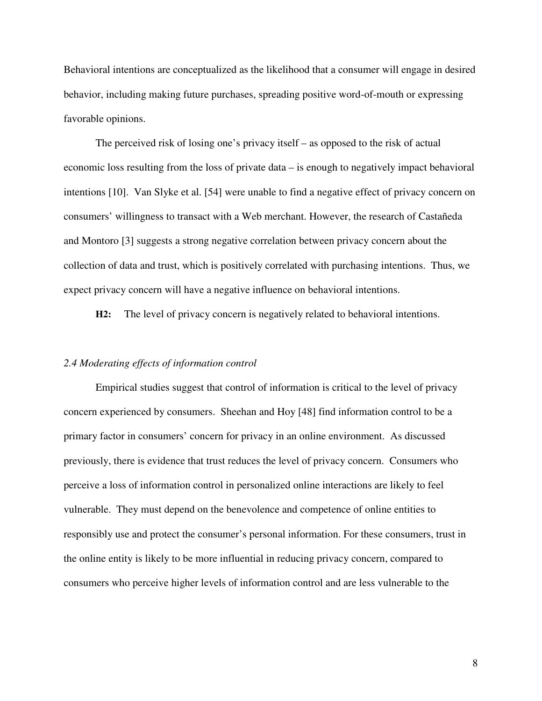Behavioral intentions are conceptualized as the likelihood that a consumer will engage in desired behavior, including making future purchases, spreading positive word-of-mouth or expressing favorable opinions.

The perceived risk of losing one's privacy itself – as opposed to the risk of actual economic loss resulting from the loss of private data – is enough to negatively impact behavioral intentions [10]. Van Slyke et al. [54] were unable to find a negative effect of privacy concern on consumers' willingness to transact with a Web merchant. However, the research of Castañeda and Montoro [3] suggests a strong negative correlation between privacy concern about the collection of data and trust, which is positively correlated with purchasing intentions. Thus, we expect privacy concern will have a negative influence on behavioral intentions.

**H2:** The level of privacy concern is negatively related to behavioral intentions.

#### *2.4 Moderating effects of information control*

Empirical studies suggest that control of information is critical to the level of privacy concern experienced by consumers. Sheehan and Hoy [48] find information control to be a primary factor in consumers' concern for privacy in an online environment. As discussed previously, there is evidence that trust reduces the level of privacy concern. Consumers who perceive a loss of information control in personalized online interactions are likely to feel vulnerable. They must depend on the benevolence and competence of online entities to responsibly use and protect the consumer's personal information. For these consumers, trust in the online entity is likely to be more influential in reducing privacy concern, compared to consumers who perceive higher levels of information control and are less vulnerable to the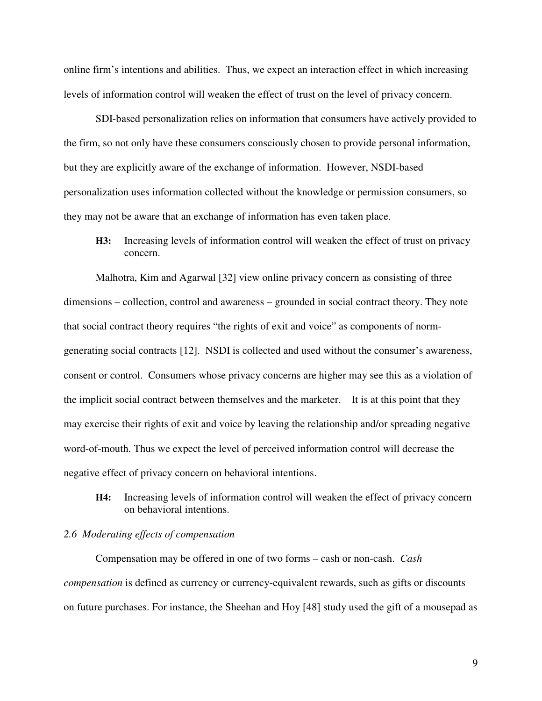online firm's intentions and abilities. Thus, we expect an interaction effect in which increasing levels of information control will weaken the effect of trust on the level of privacy concern.

SDI-based personalization relies on information that consumers have actively provided to the firm, so not only have these consumers consciously chosen to provide personal information, but they are explicitly aware of the exchange of information. However, NSDI-based personalization uses information collected without the knowledge or permission consumers, so they may not be aware that an exchange of information has even taken place.

**H3:** Increasing levels of information control will weaken the effect of trust on privacy concern.

Malhotra, Kim and Agarwal [32] view online privacy concern as consisting of three dimensions – collection, control and awareness – grounded in social contract theory. They note that social contract theory requires "the rights of exit and voice" as components of normgenerating social contracts [12]. NSDI is collected and used without the consumer's awareness, consent or control. Consumers whose privacy concerns are higher may see this as a violation of the implicit social contract between themselves and the marketer. It is at this point that they may exercise their rights of exit and voice by leaving the relationship and/or spreading negative word-of-mouth. Thus we expect the level of perceived information control will decrease the negative effect of privacy concern on behavioral intentions.

**H4:** Increasing levels of information control will weaken the effect of privacy concern on behavioral intentions.

# *2.6 Moderating effects of compensation*

Compensation may be offered in one of two forms – cash or non-cash. *Cash compensation* is defined as currency or currency-equivalent rewards, such as gifts or discounts on future purchases. For instance, the Sheehan and Hoy [48] study used the gift of a mousepad as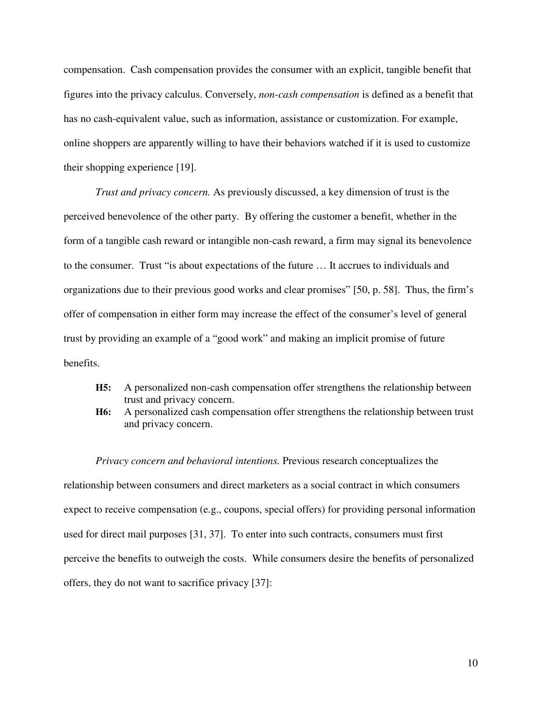compensation. Cash compensation provides the consumer with an explicit, tangible benefit that figures into the privacy calculus. Conversely, *non-cash compensation* is defined as a benefit that has no cash-equivalent value, such as information, assistance or customization. For example, online shoppers are apparently willing to have their behaviors watched if it is used to customize their shopping experience [19].

*Trust and privacy concern.* As previously discussed, a key dimension of trust is the perceived benevolence of the other party. By offering the customer a benefit, whether in the form of a tangible cash reward or intangible non-cash reward, a firm may signal its benevolence to the consumer. Trust "is about expectations of the future … It accrues to individuals and organizations due to their previous good works and clear promises" [50, p. 58]. Thus, the firm's offer of compensation in either form may increase the effect of the consumer's level of general trust by providing an example of a "good work" and making an implicit promise of future benefits.

- **H5:** A personalized non-cash compensation offer strengthens the relationship between trust and privacy concern.
- **H6:** A personalized cash compensation offer strengthens the relationship between trust and privacy concern.

*Privacy concern and behavioral intentions.* Previous research conceptualizes the relationship between consumers and direct marketers as a social contract in which consumers expect to receive compensation (e.g., coupons, special offers) for providing personal information used for direct mail purposes [31, 37]. To enter into such contracts, consumers must first perceive the benefits to outweigh the costs. While consumers desire the benefits of personalized offers, they do not want to sacrifice privacy [37]: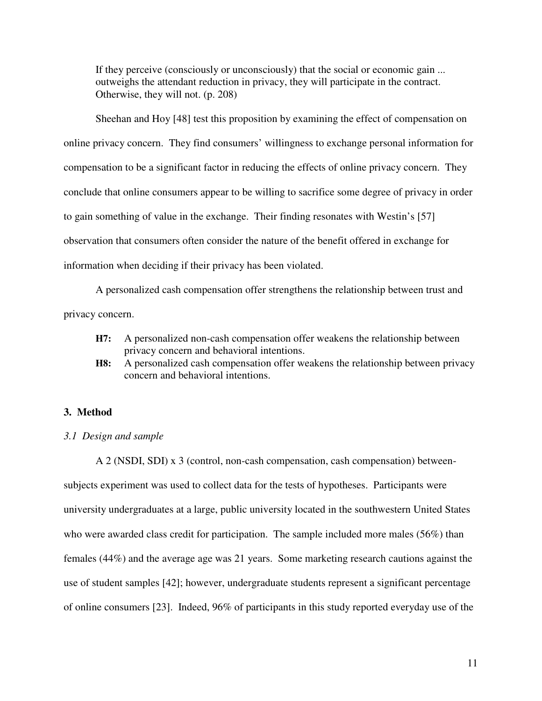If they perceive (consciously or unconsciously) that the social or economic gain ... outweighs the attendant reduction in privacy, they will participate in the contract. Otherwise, they will not. (p. 208)

Sheehan and Hoy [48] test this proposition by examining the effect of compensation on online privacy concern. They find consumers' willingness to exchange personal information for compensation to be a significant factor in reducing the effects of online privacy concern. They conclude that online consumers appear to be willing to sacrifice some degree of privacy in order to gain something of value in the exchange. Their finding resonates with Westin's [57] observation that consumers often consider the nature of the benefit offered in exchange for information when deciding if their privacy has been violated.

A personalized cash compensation offer strengthens the relationship between trust and privacy concern.

- **H7:** A personalized non-cash compensation offer weakens the relationship between privacy concern and behavioral intentions.
- **H8:** A personalized cash compensation offer weakens the relationship between privacy concern and behavioral intentions.

#### **3. Method**

#### *3.1 Design and sample*

A 2 (NSDI, SDI) x 3 (control, non-cash compensation, cash compensation) betweensubjects experiment was used to collect data for the tests of hypotheses. Participants were university undergraduates at a large, public university located in the southwestern United States who were awarded class credit for participation. The sample included more males (56%) than females (44%) and the average age was 21 years. Some marketing research cautions against the use of student samples [42]; however, undergraduate students represent a significant percentage of online consumers [23]. Indeed, 96% of participants in this study reported everyday use of the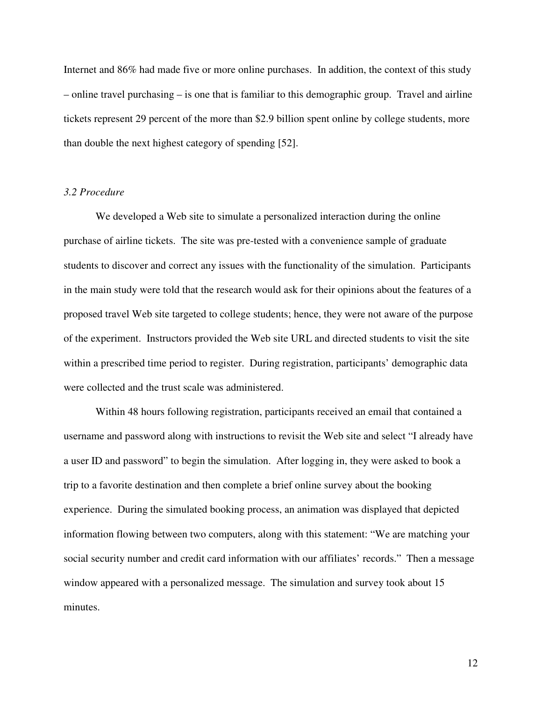Internet and 86% had made five or more online purchases. In addition, the context of this study – online travel purchasing – is one that is familiar to this demographic group. Travel and airline tickets represent 29 percent of the more than \$2.9 billion spent online by college students, more than double the next highest category of spending [52].

# *3.2 Procedure*

We developed a Web site to simulate a personalized interaction during the online purchase of airline tickets. The site was pre-tested with a convenience sample of graduate students to discover and correct any issues with the functionality of the simulation. Participants in the main study were told that the research would ask for their opinions about the features of a proposed travel Web site targeted to college students; hence, they were not aware of the purpose of the experiment. Instructors provided the Web site URL and directed students to visit the site within a prescribed time period to register. During registration, participants' demographic data were collected and the trust scale was administered.

Within 48 hours following registration, participants received an email that contained a username and password along with instructions to revisit the Web site and select "I already have a user ID and password" to begin the simulation. After logging in, they were asked to book a trip to a favorite destination and then complete a brief online survey about the booking experience. During the simulated booking process, an animation was displayed that depicted information flowing between two computers, along with this statement: "We are matching your social security number and credit card information with our affiliates' records." Then a message window appeared with a personalized message. The simulation and survey took about 15 minutes.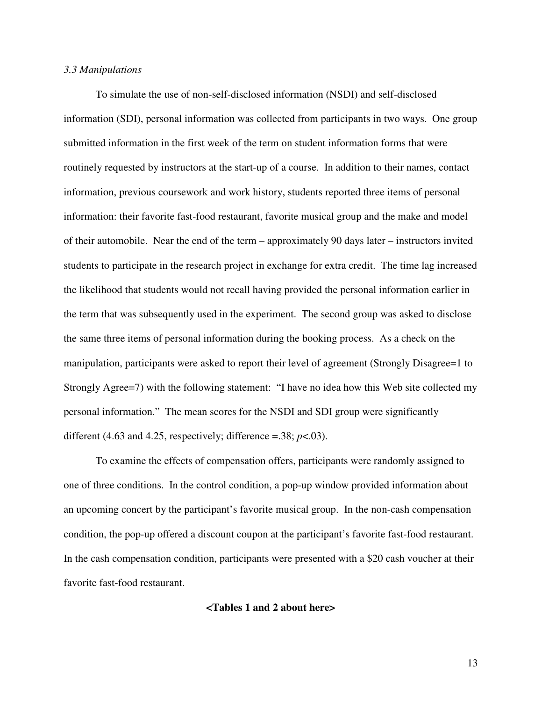#### *3.3 Manipulations*

To simulate the use of non-self-disclosed information (NSDI) and self-disclosed information (SDI), personal information was collected from participants in two ways. One group submitted information in the first week of the term on student information forms that were routinely requested by instructors at the start-up of a course. In addition to their names, contact information, previous coursework and work history, students reported three items of personal information: their favorite fast-food restaurant, favorite musical group and the make and model of their automobile. Near the end of the term – approximately 90 days later – instructors invited students to participate in the research project in exchange for extra credit. The time lag increased the likelihood that students would not recall having provided the personal information earlier in the term that was subsequently used in the experiment. The second group was asked to disclose the same three items of personal information during the booking process. As a check on the manipulation, participants were asked to report their level of agreement (Strongly Disagree=1 to Strongly Agree=7) with the following statement: "I have no idea how this Web site collected my personal information." The mean scores for the NSDI and SDI group were significantly different (4.63 and 4.25, respectively; difference =.38;  $p$ <.03).

To examine the effects of compensation offers, participants were randomly assigned to one of three conditions. In the control condition, a pop-up window provided information about an upcoming concert by the participant's favorite musical group. In the non-cash compensation condition, the pop-up offered a discount coupon at the participant's favorite fast-food restaurant. In the cash compensation condition, participants were presented with a \$20 cash voucher at their favorite fast-food restaurant.

# **<Tables 1 and 2 about here>**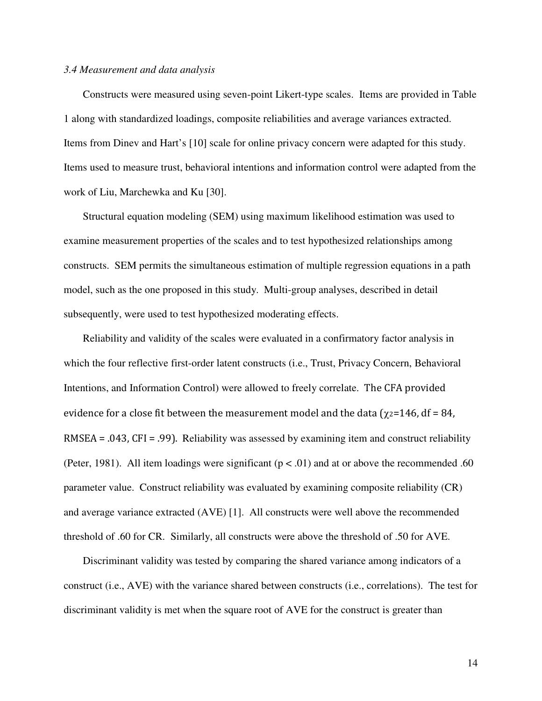#### *3.4 Measurement and data analysis*

Constructs were measured using seven-point Likert-type scales. Items are provided in Table 1 along with standardized loadings, composite reliabilities and average variances extracted. Items from Dinev and Hart's [10] scale for online privacy concern were adapted for this study. Items used to measure trust, behavioral intentions and information control were adapted from the work of Liu, Marchewka and Ku [30].

Structural equation modeling (SEM) using maximum likelihood estimation was used to examine measurement properties of the scales and to test hypothesized relationships among constructs. SEM permits the simultaneous estimation of multiple regression equations in a path model, such as the one proposed in this study. Multi-group analyses, described in detail subsequently, were used to test hypothesized moderating effects.

Reliability and validity of the scales were evaluated in a confirmatory factor analysis in which the four reflective first-order latent constructs (i.e., Trust, Privacy Concern, Behavioral Intentions, and Information Control) were allowed to freely correlate. The CFA provided evidence for a close fit between the measurement model and the data ( $\chi$ <sub>2</sub>=146, df = 84, RMSEA = .043, CFI = .99). Reliability was assessed by examining item and construct reliability (Peter, 1981). All item loadings were significant ( $p < .01$ ) and at or above the recommended .60 parameter value. Construct reliability was evaluated by examining composite reliability (CR) and average variance extracted (AVE) [1]. All constructs were well above the recommended threshold of .60 for CR. Similarly, all constructs were above the threshold of .50 for AVE.

Discriminant validity was tested by comparing the shared variance among indicators of a construct (i.e., AVE) with the variance shared between constructs (i.e., correlations). The test for discriminant validity is met when the square root of AVE for the construct is greater than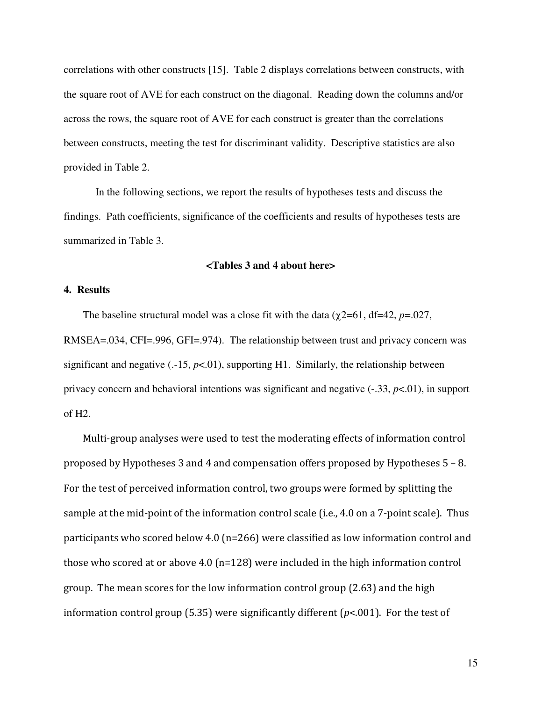correlations with other constructs [15]. Table 2 displays correlations between constructs, with the square root of AVE for each construct on the diagonal. Reading down the columns and/or across the rows, the square root of AVE for each construct is greater than the correlations between constructs, meeting the test for discriminant validity. Descriptive statistics are also provided in Table 2.

In the following sections, we report the results of hypotheses tests and discuss the findings. Path coefficients, significance of the coefficients and results of hypotheses tests are summarized in Table 3.

# **<Tables 3 and 4 about here>**

# **4. Results**

The baseline structural model was a close fit with the data ( $\chi$ 2=61, df=42, *p*=.027, RMSEA=.034, CFI=.996, GFI=.974). The relationship between trust and privacy concern was significant and negative  $(.15, p<0.01)$ , supporting H1. Similarly, the relationship between privacy concern and behavioral intentions was significant and negative (-.33, *p*<.01), in support of H2.

Multi-group analyses were used to test the moderating effects of information control proposed by Hypotheses 3 and 4 and compensation offers proposed by Hypotheses 5 – 8. For the test of perceived information control, two groups were formed by splitting the sample at the mid-point of the information control scale (i.e., 4.0 on a 7-point scale). Thus participants who scored below 4.0 (n=266) were classified as low information control and those who scored at or above 4.0 (n=128) were included in the high information control group. The mean scores for the low information control group (2.63) and the high information control group (5.35) were significantly different ( $p$ <.001). For the test of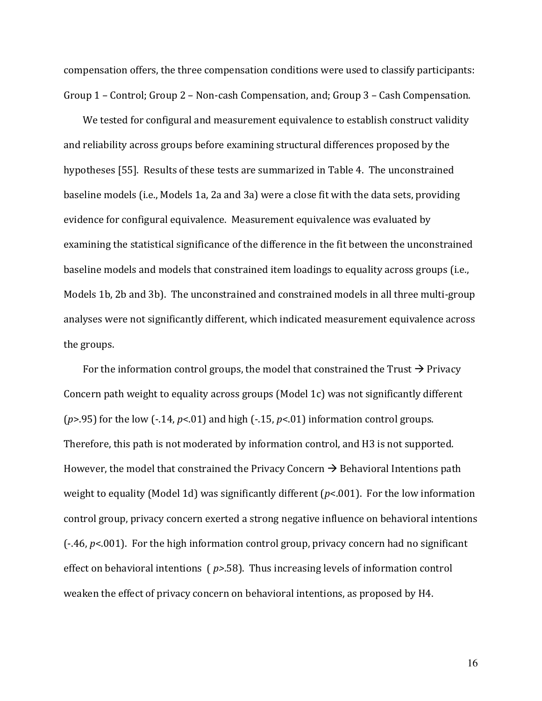compensation offers, the three compensation conditions were used to classify participants: Group 1 – Control; Group 2 – Non-cash Compensation, and; Group 3 – Cash Compensation.

We tested for configural and measurement equivalence to establish construct validity and reliability across groups before examining structural differences proposed by the hypotheses [55]. Results of these tests are summarized in Table 4. The unconstrained baseline models (i.e., Models 1a, 2a and 3a) were a close fit with the data sets, providing evidence for configural equivalence. Measurement equivalence was evaluated by examining the statistical significance of the difference in the fit between the unconstrained baseline models and models that constrained item loadings to equality across groups (i.e., Models 1b, 2b and 3b). The unconstrained and constrained models in all three multi-group analyses were not significantly different, which indicated measurement equivalence across the groups.

For the information control groups, the model that constrained the Trust  $\rightarrow$  Privacy Concern path weight to equality across groups (Model 1c) was not significantly different ( $p$ >.95) for the low (-.14,  $p$ <.01) and high (-.15,  $p$ <.01) information control groups. Therefore, this path is not moderated by information control, and H3 is not supported. However, the model that constrained the Privacy Concern  $\rightarrow$  Behavioral Intentions path weight to equality (Model 1d) was significantly different ( $p$ <.001). For the low information control group, privacy concern exerted a strong negative influence on behavioral intentions  $(-.46, p<.001)$ . For the high information control group, privacy concern had no significant effect on behavioral intentions ( $p$ >.58). Thus increasing levels of information control weaken the effect of privacy concern on behavioral intentions, as proposed by H4.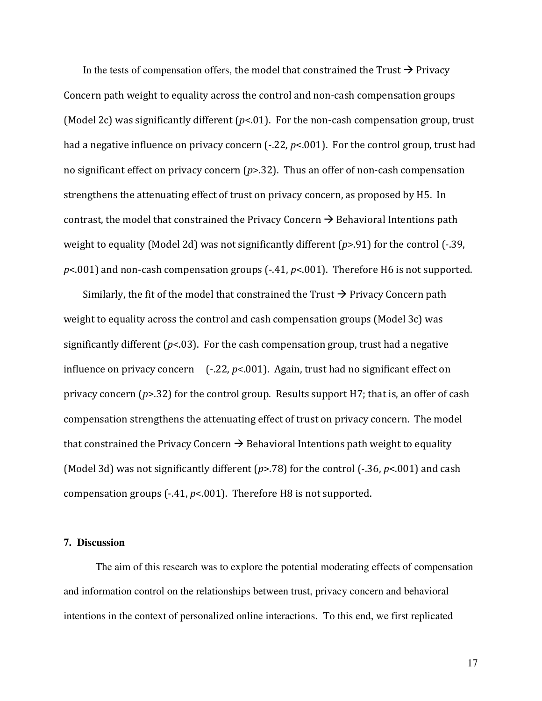In the tests of compensation offers, the model that constrained the Trust  $\rightarrow$  Privacy Concern path weight to equality across the control and non-cash compensation groups (Model 2c) was significantly different ( $p<01$ ). For the non-cash compensation group, trust had a negative influence on privacy concern (-.22,  $p$ <.001). For the control group, trust had no significant effect on privacy concern  $(p>0.32)$ . Thus an offer of non-cash compensation strengthens the attenuating effect of trust on privacy concern, as proposed by H5. In contrast, the model that constrained the Privacy Concern  $\rightarrow$  Behavioral Intentions path weight to equality (Model 2d) was not significantly different  $(p>0.91)$  for the control (-.39,  $p$ <.001) and non-cash compensation groups (-.41,  $p$ <.001). Therefore H6 is not supported.

Similarly, the fit of the model that constrained the Trust  $\rightarrow$  Privacy Concern path weight to equality across the control and cash compensation groups (Model 3c) was significantly different ( $p$ <.03). For the cash compensation group, trust had a negative influence on privacy concern  $[-.22, p<.001]$ . Again, trust had no significant effect on privacy concern  $(p>32)$  for the control group. Results support H7; that is, an offer of cash compensation strengthens the attenuating effect of trust on privacy concern. The model that constrained the Privacy Concern  $\rightarrow$  Behavioral Intentions path weight to equality (Model 3d) was not significantly different ( $p$ >.78) for the control (-.36,  $p$ <.001) and cash compensation groups  $(-.41, p<.001)$ . Therefore H8 is not supported.

# **7. Discussion**

The aim of this research was to explore the potential moderating effects of compensation and information control on the relationships between trust, privacy concern and behavioral intentions in the context of personalized online interactions. To this end, we first replicated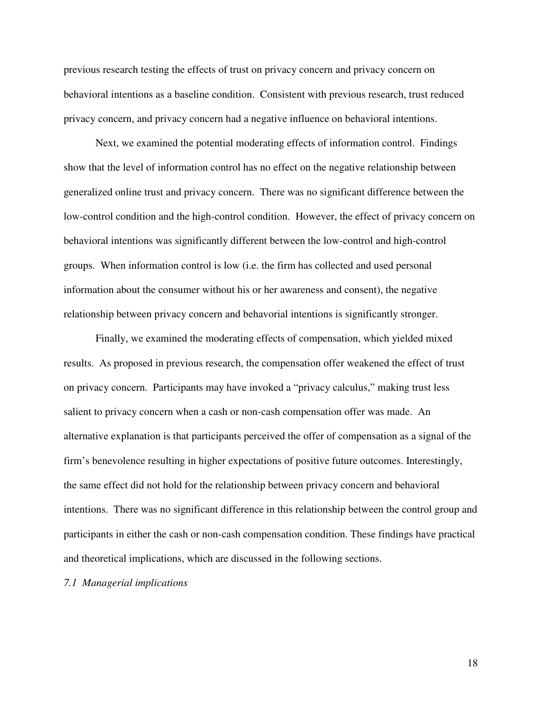previous research testing the effects of trust on privacy concern and privacy concern on behavioral intentions as a baseline condition. Consistent with previous research, trust reduced privacy concern, and privacy concern had a negative influence on behavioral intentions.

Next, we examined the potential moderating effects of information control. Findings show that the level of information control has no effect on the negative relationship between generalized online trust and privacy concern. There was no significant difference between the low-control condition and the high-control condition. However, the effect of privacy concern on behavioral intentions was significantly different between the low-control and high-control groups. When information control is low (i.e. the firm has collected and used personal information about the consumer without his or her awareness and consent), the negative relationship between privacy concern and behavorial intentions is significantly stronger.

Finally, we examined the moderating effects of compensation, which yielded mixed results. As proposed in previous research, the compensation offer weakened the effect of trust on privacy concern. Participants may have invoked a "privacy calculus," making trust less salient to privacy concern when a cash or non-cash compensation offer was made. An alternative explanation is that participants perceived the offer of compensation as a signal of the firm's benevolence resulting in higher expectations of positive future outcomes. Interestingly, the same effect did not hold for the relationship between privacy concern and behavioral intentions. There was no significant difference in this relationship between the control group and participants in either the cash or non-cash compensation condition. These findings have practical and theoretical implications, which are discussed in the following sections.

#### *7.1 Managerial implications*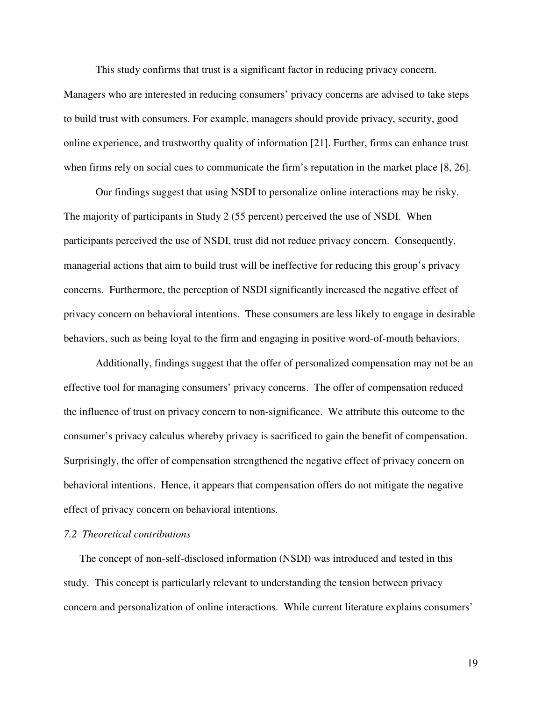This study confirms that trust is a significant factor in reducing privacy concern.

Managers who are interested in reducing consumers' privacy concerns are advised to take steps to build trust with consumers. For example, managers should provide privacy, security, good online experience, and trustworthy quality of information [21]. Further, firms can enhance trust when firms rely on social cues to communicate the firm's reputation in the market place [8, 26].

Our findings suggest that using NSDI to personalize online interactions may be risky. The majority of participants in Study 2 (55 percent) perceived the use of NSDI. When participants perceived the use of NSDI, trust did not reduce privacy concern. Consequently, managerial actions that aim to build trust will be ineffective for reducing this group's privacy concerns. Furthermore, the perception of NSDI significantly increased the negative effect of privacy concern on behavioral intentions. These consumers are less likely to engage in desirable behaviors, such as being loyal to the firm and engaging in positive word-of-mouth behaviors.

Additionally, findings suggest that the offer of personalized compensation may not be an effective tool for managing consumers' privacy concerns. The offer of compensation reduced the influence of trust on privacy concern to non-significance. We attribute this outcome to the consumer's privacy calculus whereby privacy is sacrificed to gain the benefit of compensation. Surprisingly, the offer of compensation strengthened the negative effect of privacy concern on behavioral intentions. Hence, it appears that compensation offers do not mitigate the negative effect of privacy concern on behavioral intentions.

# *7.2 Theoretical contributions*

 The concept of non-self-disclosed information (NSDI) was introduced and tested in this study. This concept is particularly relevant to understanding the tension between privacy concern and personalization of online interactions. While current literature explains consumers'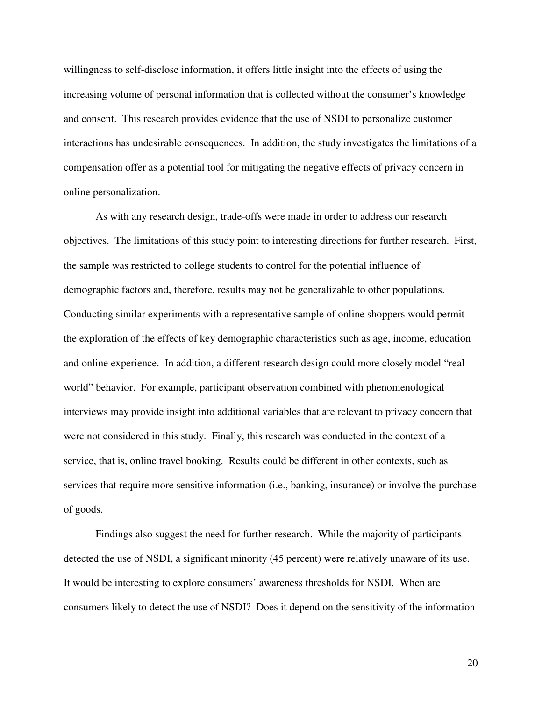willingness to self-disclose information, it offers little insight into the effects of using the increasing volume of personal information that is collected without the consumer's knowledge and consent. This research provides evidence that the use of NSDI to personalize customer interactions has undesirable consequences. In addition, the study investigates the limitations of a compensation offer as a potential tool for mitigating the negative effects of privacy concern in online personalization.

As with any research design, trade-offs were made in order to address our research objectives. The limitations of this study point to interesting directions for further research. First, the sample was restricted to college students to control for the potential influence of demographic factors and, therefore, results may not be generalizable to other populations. Conducting similar experiments with a representative sample of online shoppers would permit the exploration of the effects of key demographic characteristics such as age, income, education and online experience. In addition, a different research design could more closely model "real world" behavior. For example, participant observation combined with phenomenological interviews may provide insight into additional variables that are relevant to privacy concern that were not considered in this study. Finally, this research was conducted in the context of a service, that is, online travel booking. Results could be different in other contexts, such as services that require more sensitive information (i.e., banking, insurance) or involve the purchase of goods.

Findings also suggest the need for further research. While the majority of participants detected the use of NSDI, a significant minority (45 percent) were relatively unaware of its use. It would be interesting to explore consumers' awareness thresholds for NSDI. When are consumers likely to detect the use of NSDI? Does it depend on the sensitivity of the information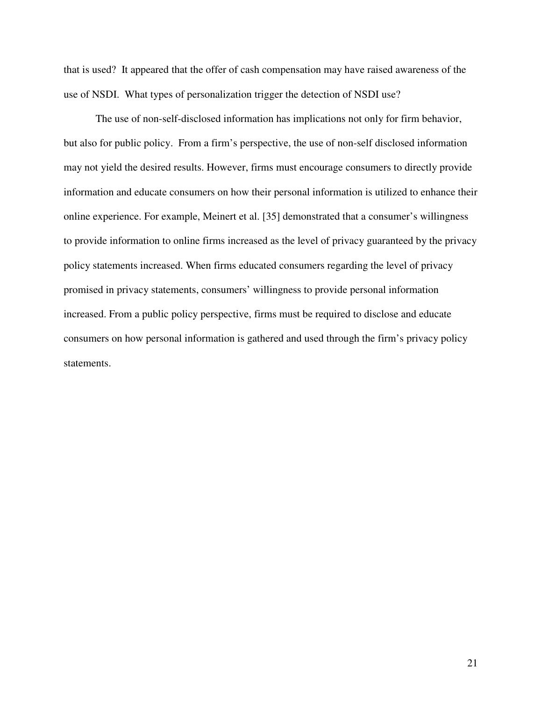that is used? It appeared that the offer of cash compensation may have raised awareness of the use of NSDI. What types of personalization trigger the detection of NSDI use?

The use of non-self-disclosed information has implications not only for firm behavior, but also for public policy. From a firm's perspective, the use of non-self disclosed information may not yield the desired results. However, firms must encourage consumers to directly provide information and educate consumers on how their personal information is utilized to enhance their online experience. For example, Meinert et al. [35] demonstrated that a consumer's willingness to provide information to online firms increased as the level of privacy guaranteed by the privacy policy statements increased. When firms educated consumers regarding the level of privacy promised in privacy statements, consumers' willingness to provide personal information increased. From a public policy perspective, firms must be required to disclose and educate consumers on how personal information is gathered and used through the firm's privacy policy statements.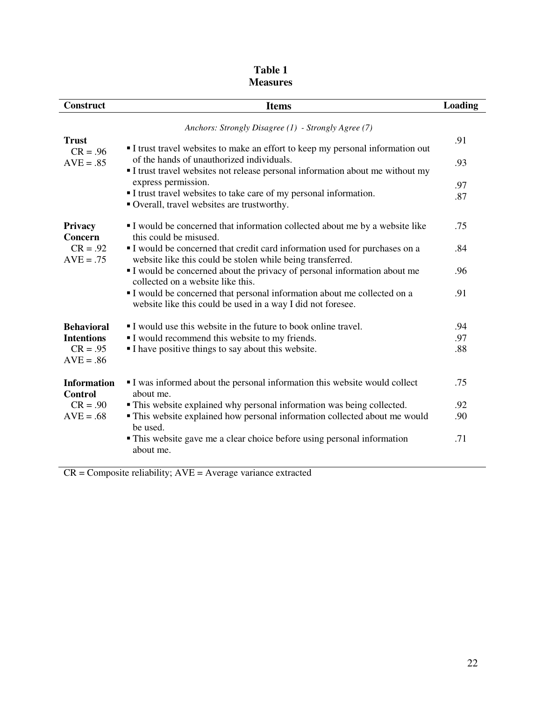| <b>Construct</b>                     | <b>Items</b>                                                                                                                            | Loading |  |  |  |
|--------------------------------------|-----------------------------------------------------------------------------------------------------------------------------------------|---------|--|--|--|
|                                      | Anchors: Strongly Disagree (1) - Strongly Agree (7)                                                                                     |         |  |  |  |
| <b>Trust</b><br>$CR = .96$           | I trust travel websites to make an effort to keep my personal information out                                                           | .91     |  |  |  |
| $AVE = .85$                          | of the hands of unauthorized individuals.<br>I trust travel websites not release personal information about me without my               |         |  |  |  |
|                                      | express permission.                                                                                                                     | .97     |  |  |  |
|                                      | I trust travel websites to take care of my personal information.<br>Overall, travel websites are trustworthy.                           | .87     |  |  |  |
| Privacy<br>Concern                   | I would be concerned that information collected about me by a website like<br>this could be misused.                                    | .75     |  |  |  |
| $CR = .92$<br>$AVE = .75$            | I would be concerned that credit card information used for purchases on a<br>website like this could be stolen while being transferred. | .84     |  |  |  |
|                                      | I would be concerned about the privacy of personal information about me<br>collected on a website like this.                            | .96     |  |  |  |
|                                      | I would be concerned that personal information about me collected on a<br>website like this could be used in a way I did not foresee.   | .91     |  |  |  |
| <b>Behavioral</b>                    | I would use this website in the future to book online travel.                                                                           | .94     |  |  |  |
| <b>Intentions</b>                    | I would recommend this website to my friends.                                                                                           | .97     |  |  |  |
| $CR = .95$<br>$AVE = .86$            | I have positive things to say about this website.                                                                                       | .88     |  |  |  |
| <b>Information</b><br><b>Control</b> | I was informed about the personal information this website would collect<br>about me.                                                   | .75     |  |  |  |
| $CR = .90$                           | • This website explained why personal information was being collected.                                                                  | .92     |  |  |  |
| $AVE = .68$                          | • This website explained how personal information collected about me would<br>be used.                                                  | .90     |  |  |  |
|                                      | • This website gave me a clear choice before using personal information<br>about me.                                                    | .71     |  |  |  |

# **Table 1 Measures**

CR = Composite reliability; AVE = Average variance extracted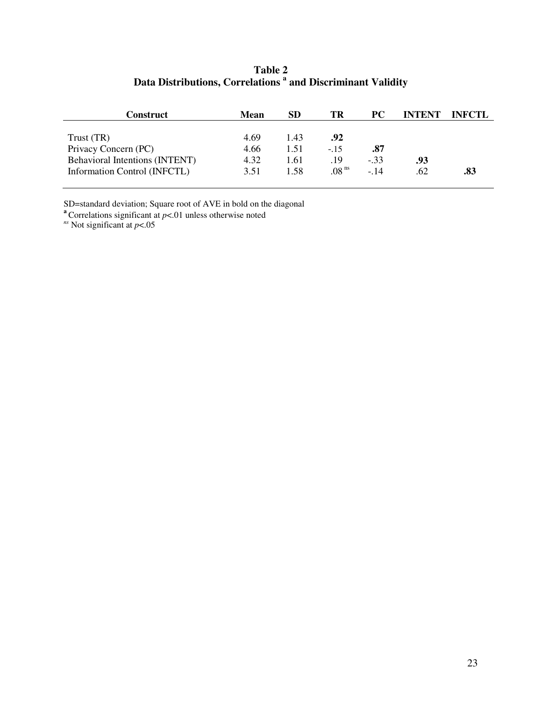# **Table 2 Data Distributions, Correlations <sup>a</sup> and Discriminant Validity**

| Construct                             | Mean | SD   | ТR                | <b>PC</b> | <b>INTENT</b> | <b>INFCTL</b> |
|---------------------------------------|------|------|-------------------|-----------|---------------|---------------|
|                                       |      |      |                   |           |               |               |
| Trust (TR)                            | 4.69 | 1.43 | .92               |           |               |               |
| Privacy Concern (PC)                  | 4.66 | 1.51 | $-.15$            | .87       |               |               |
| <b>Behavioral Intentions (INTENT)</b> | 4.32 | 1.61 | .19               | $-.33$    | .93           |               |
| Information Control (INFCTL)          | 3.51 | 1.58 | .08 <sup>ns</sup> | $-14$     | .62           | .83           |

SD=standard deviation; Square root of AVE in bold on the diagonal

**a** Correlations significant at  $p$ <.01 unless otherwise noted

*ns* Not significant at *p*<.05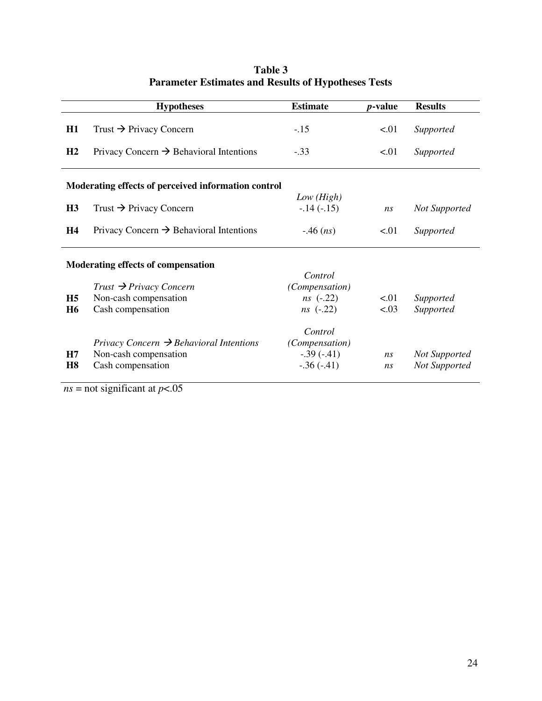|                                                     | <b>Hypotheses</b>                                                                                 | <b>Estimate</b>                                           | <i>p</i> -value | <b>Results</b>                        |  |  |
|-----------------------------------------------------|---------------------------------------------------------------------------------------------------|-----------------------------------------------------------|-----------------|---------------------------------------|--|--|
| H1                                                  | Trust $\rightarrow$ Privacy Concern                                                               | $-.15$                                                    | < 01            | Supported                             |  |  |
| H <sub>2</sub>                                      | Privacy Concern $\rightarrow$ Behavioral Intentions                                               | $-.33$                                                    | < 01            | Supported                             |  |  |
| Moderating effects of perceived information control |                                                                                                   |                                                           |                 |                                       |  |  |
| H <sub>3</sub>                                      | Trust $\rightarrow$ Privacy Concern                                                               | Low (High)<br>$-.14(-.15)$                                | ns              | <b>Not Supported</b>                  |  |  |
| H <sub>4</sub>                                      | Privacy Concern $\rightarrow$ Behavioral Intentions                                               | $-46$ ( <i>ns</i> )                                       | < 0.01          | Supported                             |  |  |
| Moderating effects of compensation                  |                                                                                                   |                                                           |                 |                                       |  |  |
| H <sub>5</sub><br><b>H6</b>                         | $Trust \rightarrow Privacy\ Concern$<br>Non-cash compensation<br>Cash compensation                | Control<br>(Compensation)<br>$ns$ (-.22)<br>$ns$ (-.22)   | < 01<br>< .03   | Supported<br>Supported                |  |  |
| H7<br>H <sub>8</sub>                                | Privacy Concern $\rightarrow$ Behavioral Intentions<br>Non-cash compensation<br>Cash compensation | Control<br>(Compensation)<br>$-.39(-.41)$<br>$-.36(-.41)$ | ns<br>ns        | <b>Not Supported</b><br>Not Supported |  |  |

# **Table 3 Parameter Estimates and Results of Hypotheses Tests**

 $n_s$  = not significant at *p*<.05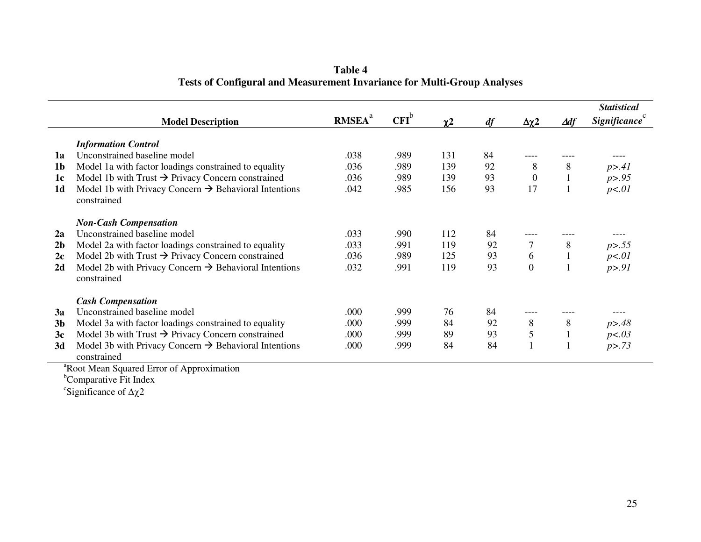**Table 4 Tests of Configural and Measurement Invariance for Multi-Group Analyses** 

|                |                                                                                  |                           |         |            |    |                            |              | <b>Statistical</b> |
|----------------|----------------------------------------------------------------------------------|---------------------------|---------|------------|----|----------------------------|--------------|--------------------|
|                | <b>Model Description</b>                                                         | <b>RMSEA</b> <sup>a</sup> | $CFI^b$ | $\gamma$ 2 | df | $\Delta \chi$ <sup>2</sup> | ∆df          | Significance       |
|                |                                                                                  |                           |         |            |    |                            |              |                    |
|                | <b>Information Control</b>                                                       |                           |         |            |    |                            |              |                    |
| 1a             | Unconstrained baseline model                                                     | .038                      | .989    | 131        | 84 |                            |              |                    |
| 1 <sub>b</sub> | Model 1a with factor loadings constrained to equality                            | .036                      | .989    | 139        | 92 | 8                          | 8            | p > .41            |
| 1c             | Model 1b with Trust $\rightarrow$ Privacy Concern constrained                    | .036                      | .989    | 139        | 93 | $\mathbf{0}$               | $\mathbf{1}$ | p > .95            |
| 1 <sub>d</sub> | Model 1b with Privacy Concern $\rightarrow$ Behavioral Intentions<br>constrained | .042                      | .985    | 156        | 93 | 17                         | 1            | p<01               |
|                | <b>Non-Cash Compensation</b>                                                     |                           |         |            |    |                            |              |                    |
| 2a             | Unconstrained baseline model                                                     | .033                      | .990    | 112        | 84 |                            |              |                    |
| 2 <sub>b</sub> | Model 2a with factor loadings constrained to equality                            | .033                      | .991    | 119        | 92 |                            | 8            | p > .55            |
| 2c             | Model 2b with Trust $\rightarrow$ Privacy Concern constrained                    | .036                      | .989    | 125        | 93 | 6                          | $\mathbf{1}$ | p<01               |
| 2d             | Model 2b with Privacy Concern $\rightarrow$ Behavioral Intentions                | .032                      | .991    | 119        | 93 | $\boldsymbol{0}$           | 1            | p > .91            |
|                | constrained                                                                      |                           |         |            |    |                            |              |                    |
|                | <b>Cash Compensation</b>                                                         |                           |         |            |    |                            |              |                    |
| 3a             | Unconstrained baseline model                                                     | .000                      | .999    | 76         | 84 |                            |              |                    |
| 3 <sub>b</sub> | Model 3a with factor loadings constrained to equality                            | .000                      | .999    | 84         | 92 | 8                          | 8            | p > .48            |
| 3c             | Model 3b with Trust $\rightarrow$ Privacy Concern constrained                    | .000                      | .999    | 89         | 93 | 5                          | $\mathbf{1}$ | p<0.03             |
| 3d             | Model 3b with Privacy Concern $\rightarrow$ Behavioral Intentions<br>constrained | .000                      | .999    | 84         | 84 |                            | $\mathbf{1}$ | p > .73            |

<sup>a</sup>Root Mean Squared Error of Approximation<br><sup>b</sup>Comparative Fit Index

 $\mathrm{c}^{\mathrm{c}}$ Significance of  $\Delta \chi 2$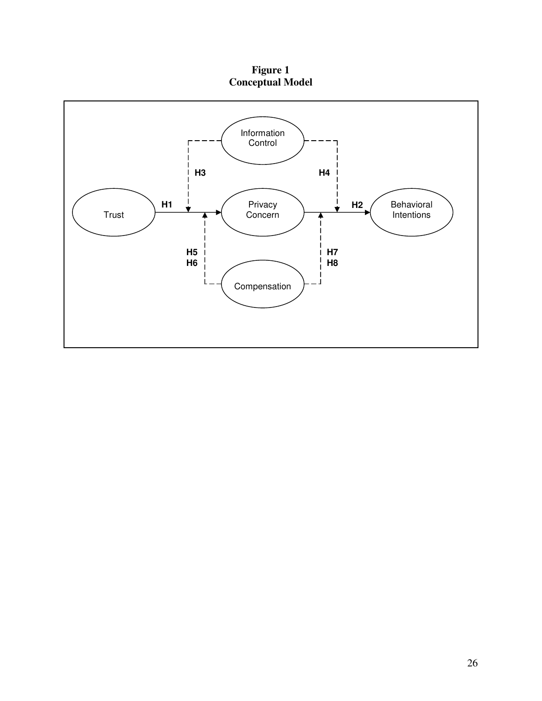**Figure 1 Conceptual Model** 

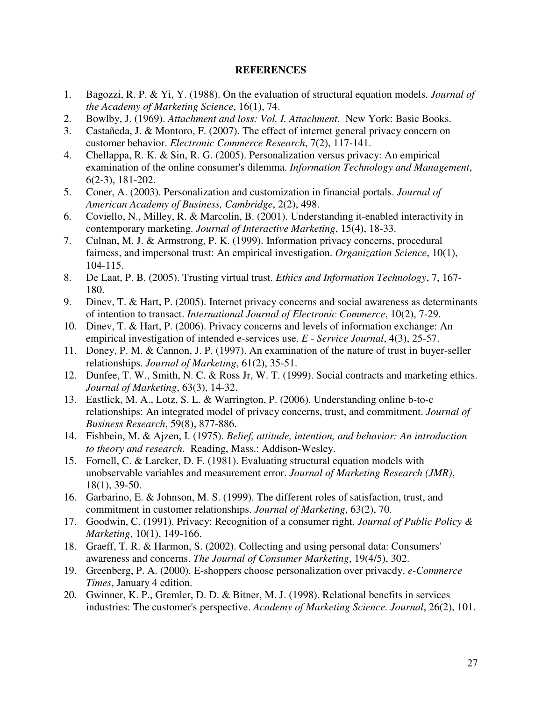# **REFERENCES**

- 1. Bagozzi, R. P. & Yi, Y. (1988). On the evaluation of structural equation models. *Journal of the Academy of Marketing Science*, 16(1), 74.
- 2. Bowlby, J. (1969). *Attachment and loss: Vol. I. Attachment*. New York: Basic Books.
- 3. Castañeda, J. & Montoro, F. (2007). The effect of internet general privacy concern on customer behavior. *Electronic Commerce Research*, 7(2), 117-141.
- 4. Chellappa, R. K. & Sin, R. G. (2005). Personalization versus privacy: An empirical examination of the online consumer's dilemma. *Information Technology and Management*, 6(2-3), 181-202.
- 5. Coner, A. (2003). Personalization and customization in financial portals. *Journal of American Academy of Business, Cambridge*, 2(2), 498.
- 6. Coviello, N., Milley, R. & Marcolin, B. (2001). Understanding it-enabled interactivity in contemporary marketing. *Journal of Interactive Marketing*, 15(4), 18-33.
- 7. Culnan, M. J. & Armstrong, P. K. (1999). Information privacy concerns, procedural fairness, and impersonal trust: An empirical investigation. *Organization Science*, 10(1), 104-115.
- 8. De Laat, P. B. (2005). Trusting virtual trust. *Ethics and Information Technology*, 7, 167- 180.
- 9. Dinev, T. & Hart, P. (2005). Internet privacy concerns and social awareness as determinants of intention to transact. *International Journal of Electronic Commerce*, 10(2), 7-29.
- 10. Dinev, T. & Hart, P. (2006). Privacy concerns and levels of information exchange: An empirical investigation of intended e-services use. *E - Service Journal*, 4(3), 25-57.
- 11. Doney, P. M. & Cannon, J. P. (1997). An examination of the nature of trust in buyer-seller relationships. *Journal of Marketing*, 61(2), 35-51.
- 12. Dunfee, T. W., Smith, N. C. & Ross Jr, W. T. (1999). Social contracts and marketing ethics. *Journal of Marketing*, 63(3), 14-32.
- 13. Eastlick, M. A., Lotz, S. L. & Warrington, P. (2006). Understanding online b-to-c relationships: An integrated model of privacy concerns, trust, and commitment. *Journal of Business Research*, 59(8), 877-886.
- 14. Fishbein, M. & Ajzen, I. (1975). *Belief, attitude, intention, and behavior: An introduction to theory and research*. Reading, Mass.: Addison-Wesley.
- 15. Fornell, C. & Larcker, D. F. (1981). Evaluating structural equation models with unobservable variables and measurement error. *Journal of Marketing Research (JMR)*, 18(1), 39-50.
- 16. Garbarino, E. & Johnson, M. S. (1999). The different roles of satisfaction, trust, and commitment in customer relationships. *Journal of Marketing*, 63(2), 70.
- 17. Goodwin, C. (1991). Privacy: Recognition of a consumer right. *Journal of Public Policy & Marketing*, 10(1), 149-166.
- 18. Graeff, T. R. & Harmon, S. (2002). Collecting and using personal data: Consumers' awareness and concerns. *The Journal of Consumer Marketing*, 19(4/5), 302.
- 19. Greenberg, P. A. (2000). E-shoppers choose personalization over privacdy. *e-Commerce Times*, January 4 edition.
- 20. Gwinner, K. P., Gremler, D. D. & Bitner, M. J. (1998). Relational benefits in services industries: The customer's perspective. *Academy of Marketing Science. Journal*, 26(2), 101.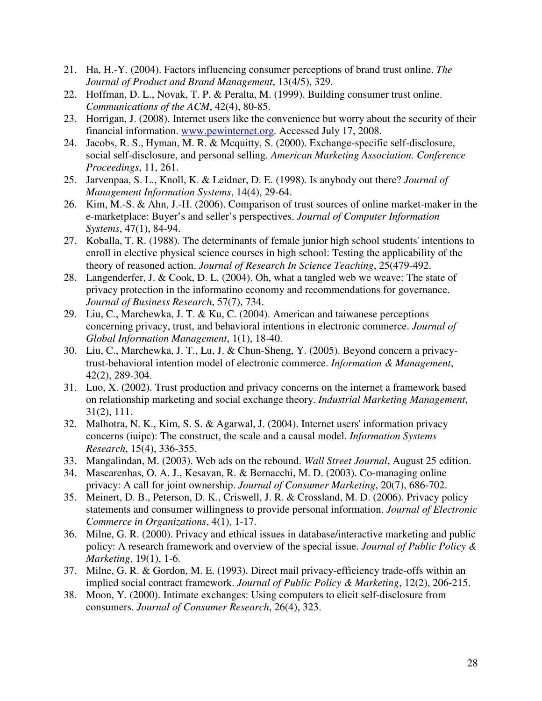- 21. Ha, H.-Y. (2004). Factors influencing consumer perceptions of brand trust online. *The Journal of Product and Brand Management*, 13(4/5), 329.
- 22. Hoffman, D. L., Novak, T. P. & Peralta, M. (1999). Building consumer trust online. *Communications of the ACM*, 42(4), 80-85.
- 23. Horrigan, J. (2008). Internet users like the convenience but worry about the security of their financial information. www.pewinternet.org. Accessed July 17, 2008.
- 24. Jacobs, R. S., Hyman, M. R. & Mcquitty, S. (2000). Exchange-specific self-disclosure, social self-disclosure, and personal selling. *American Marketing Association. Conference Proceedings*, 11, 261.
- 25. Jarvenpaa, S. L., Knoll, K. & Leidner, D. E. (1998). Is anybody out there? *Journal of Management Information Systems*, 14(4), 29-64.
- 26. Kim, M.-S. & Ahn, J.-H. (2006). Comparison of trust sources of online market-maker in the e-marketplace: Buyer's and seller's perspectives. *Journal of Computer Information Systems*, 47(1), 84-94.
- 27. Koballa, T. R. (1988). The determinants of female junior high school students' intentions to enroll in elective physical science courses in high school: Testing the applicability of the theory of reasoned action. *Journal of Research In Science Teaching*, 25(479-492.
- 28. Langenderfer, J. & Cook, D. L. (2004). Oh, what a tangled web we weave: The state of privacy protection in the informatino economy and recommendations for governance. *Journal of Business Research*, 57(7), 734.
- 29. Liu, C., Marchewka, J. T. & Ku, C. (2004). American and taiwanese perceptions concerning privacy, trust, and behavioral intentions in electronic commerce. *Journal of Global Information Management*, 1(1), 18-40.
- 30. Liu, C., Marchewka, J. T., Lu, J. & Chun-Sheng, Y. (2005). Beyond concern a privacytrust-behavioral intention model of electronic commerce. *Information & Management*, 42(2), 289-304.
- 31. Luo, X. (2002). Trust production and privacy concerns on the internet a framework based on relationship marketing and social exchange theory. *Industrial Marketing Management*, 31(2), 111.
- 32. Malhotra, N. K., Kim, S. S. & Agarwal, J. (2004). Internet users' information privacy concerns (iuipc): The construct, the scale and a causal model. *Information Systems Research*, 15(4), 336-355.
- 33. Mangalindan, M. (2003). Web ads on the rebound. *Wall Street Journal*, August 25 edition.
- 34. Mascarenhas, O. A. J., Kesavan, R. & Bernacchi, M. D. (2003). Co-managing online privacy: A call for joint ownership. *Journal of Consumer Marketing*, 20(7), 686-702.
- 35. Meinert, D. B., Peterson, D. K., Criswell, J. R. & Crossland, M. D. (2006). Privacy policy statements and consumer willingness to provide personal information. *Journal of Electronic Commerce in Organizations*, 4(1), 1-17.
- 36. Milne, G. R. (2000). Privacy and ethical issues in database/interactive marketing and public policy: A research framework and overview of the special issue. *Journal of Public Policy & Marketing*, 19(1), 1-6.
- 37. Milne, G. R. & Gordon, M. E. (1993). Direct mail privacy-efficiency trade-offs within an implied social contract framework. *Journal of Public Policy & Marketing*, 12(2), 206-215.
- 38. Moon, Y. (2000). Intimate exchanges: Using computers to elicit self-disclosure from consumers. *Journal of Consumer Research*, 26(4), 323.